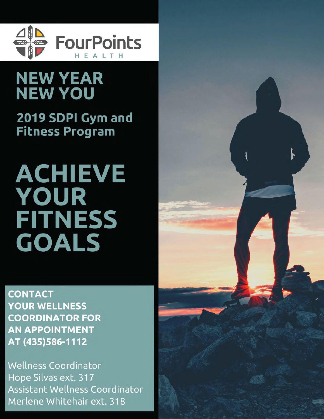

## **NEW YEAR NEW YOU**

2019 SDPI Gym and **Fitness Program** 

# **ACHIEVE** YOUR **FITNESS GOALS**

**CONTACT YOUR WELLNESS COORDINATOR FOR AN APPOINTMENT** AT (435)586-1112

**Wellness Coordinator** Hope Silvas ext. 317 Assistant Wellness Coordinator Merlene Whitehair ext. 318